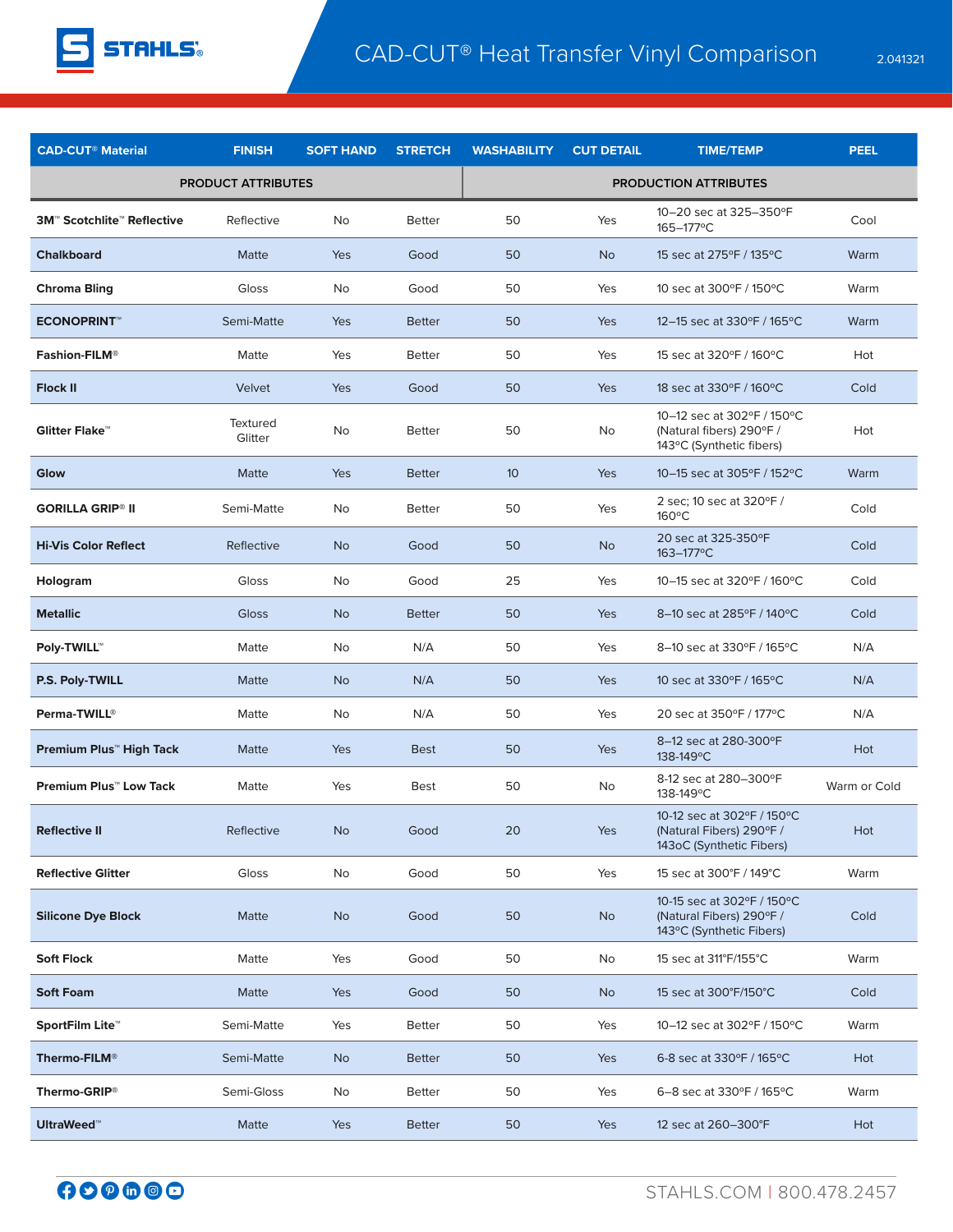

| <b>CAD-CUT<sup>®</sup> Material</b>                     | <b>FINISH</b>              | <b>SOFT HAND</b> | <b>STRETCH</b> | <b>WASHABILITY</b>           | <b>CUT DETAIL</b> | <b>TIME/TEMP</b>                                                                   | <b>PEEL</b>  |  |
|---------------------------------------------------------|----------------------------|------------------|----------------|------------------------------|-------------------|------------------------------------------------------------------------------------|--------------|--|
| <b>PRODUCT ATTRIBUTES</b>                               |                            |                  |                | <b>PRODUCTION ATTRIBUTES</b> |                   |                                                                                    |              |  |
| <b>3M<sup>™</sup> Scotchlite<sup>™</sup> Reflective</b> | Reflective                 | No               | <b>Better</b>  | 50                           | Yes               | 10-20 sec at 325-350°F<br>165-177°C                                                | Cool         |  |
| <b>Chalkboard</b>                                       | Matte                      | <b>Yes</b>       | Good           | 50                           | <b>No</b>         | 15 sec at 275°F / 135°C                                                            | Warm         |  |
| <b>Chroma Bling</b>                                     | Gloss                      | No               | Good           | 50                           | Yes               | 10 sec at 300°F / 150°C                                                            | Warm         |  |
| <b>ECONOPRINT</b>                                       | Semi-Matte                 | <b>Yes</b>       | <b>Better</b>  | 50                           | Yes               | 12–15 sec at 330°F / 165°C                                                         | Warm         |  |
| <b>Fashion-FILM®</b>                                    | Matte                      | Yes              | <b>Better</b>  | 50                           | Yes               | 15 sec at 320°F / 160°C                                                            | Hot          |  |
| <b>Flock II</b>                                         | Velvet                     | Yes              | Good           | 50                           | Yes               | 18 sec at 330°F / 160°C                                                            | Cold         |  |
| Glitter Flake <sup>™</sup>                              | <b>Textured</b><br>Glitter | No               | <b>Better</b>  | 50                           | No                | 10-12 sec at 302°F / 150°C<br>(Natural fibers) 290°F /<br>143°C (Synthetic fibers) | Hot          |  |
| Glow                                                    | Matte                      | <b>Yes</b>       | <b>Better</b>  | 10                           | Yes               | 10–15 sec at 305°F / 152°C                                                         | Warm         |  |
| <b>GORILLA GRIP® II</b>                                 | Semi-Matte                 | No               | <b>Better</b>  | 50                           | Yes               | 2 sec; 10 sec at 320°F/<br>$160^{\circ}$ C                                         | Cold         |  |
| <b>Hi-Vis Color Reflect</b>                             | Reflective                 | <b>No</b>        | Good           | 50                           | <b>No</b>         | 20 sec at 325-350°F<br>163-177°C                                                   | Cold         |  |
| Hologram                                                | Gloss                      | No               | Good           | 25                           | Yes               | 10-15 sec at 320°F / 160°C                                                         | Cold         |  |
| <b>Metallic</b>                                         | <b>Gloss</b>               | <b>No</b>        | <b>Better</b>  | 50                           | Yes               | 8-10 sec at 285°F / 140°C                                                          | Cold         |  |
| <b>Poly-TWILL™</b>                                      | Matte                      | No               | N/A            | 50                           | Yes               | 8-10 sec at 330°F / 165°C                                                          | N/A          |  |
| P.S. Poly-TWILL                                         | Matte                      | <b>No</b>        | N/A            | 50                           | Yes               | 10 sec at 330°F / 165°C                                                            | N/A          |  |
| Perma-TWILL®                                            | Matte                      | No               | N/A            | 50                           | Yes               | 20 sec at 350°F / 177°C                                                            | N/A          |  |
| Premium Plus <sup>™</sup> High Tack                     | Matte                      | <b>Yes</b>       | <b>Best</b>    | 50                           | Yes               | 8-12 sec at 280-300°F<br>138-149°C                                                 | Hot          |  |
| <b>Premium Plus™ Low Tack</b>                           | Matte                      | Yes              | <b>Best</b>    | 50                           | No                | 8-12 sec at 280-300°F<br>138-149°C                                                 | Warm or Cold |  |
| <b>Reflective II</b>                                    | Reflective                 | <b>No</b>        | Good           | 20                           | Yes               | 10-12 sec at 302°F / 150°C<br>(Natural Fibers) 290°F /<br>143oC (Synthetic Fibers) | Hot          |  |
| <b>Reflective Glitter</b>                               | Gloss                      | No               | Good           | 50                           | Yes               | 15 sec at 300°F / 149°C                                                            | Warm         |  |
| <b>Silicone Dye Block</b>                               | Matte                      | <b>No</b>        | Good           | 50                           | <b>No</b>         | 10-15 sec at 302°F / 150°C<br>(Natural Fibers) 290°F /<br>143°C (Synthetic Fibers) | Cold         |  |
| <b>Soft Flock</b>                                       | Matte                      | Yes              | Good           | 50                           | No                | 15 sec at 311°F/155°C                                                              | Warm         |  |
| <b>Soft Foam</b>                                        | Matte                      | Yes              | Good           | 50                           | <b>No</b>         | 15 sec at 300°F/150°C                                                              | Cold         |  |
| SportFilm Lite <sup>™</sup>                             | Semi-Matte                 | Yes              | <b>Better</b>  | 50                           | Yes               | 10-12 sec at 302°F / 150°C                                                         | Warm         |  |
| Thermo-FILM <sup>®</sup>                                | Semi-Matte                 | <b>No</b>        | <b>Better</b>  | 50                           | Yes               | 6-8 sec at 330°F / 165°C                                                           | Hot          |  |
| Thermo-GRIP®                                            | Semi-Gloss                 | No               | <b>Better</b>  | 50                           | Yes               | 6-8 sec at 330°F / 165°C                                                           | Warm         |  |
| <b>UltraWeed™</b>                                       | Matte                      | Yes              | <b>Better</b>  | 50                           | Yes               | 12 sec at 260-300°F                                                                | Hot          |  |